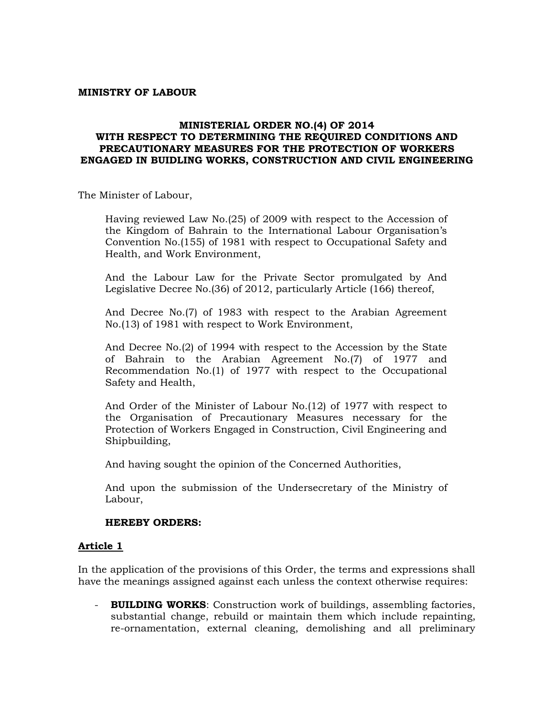#### **MINISTRY OF LABOUR**

#### **MINISTERIAL ORDER NO.(4) OF 2014 WITH RESPECT TO DETERMINING THE REQUIRED CONDITIONS AND PRECAUTIONARY MEASURES FOR THE PROTECTION OF WORKERS ENGAGED IN BUIDLING WORKS, CONSTRUCTION AND CIVIL ENGINEERING**

The Minister of Labour,

Having reviewed Law No.(25) of 2009 with respect to the Accession of the Kingdom of Bahrain to the International Labour Organisation's Convention No.(155) of 1981 with respect to Occupational Safety and Health, and Work Environment,

And the Labour Law for the Private Sector promulgated by And Legislative Decree No.(36) of 2012, particularly Article (166) thereof,

And Decree No.(7) of 1983 with respect to the Arabian Agreement No.(13) of 1981 with respect to Work Environment,

And Decree No.(2) of 1994 with respect to the Accession by the State of Bahrain to the Arabian Agreement No.(7) of 1977 and Recommendation No.(1) of 1977 with respect to the Occupational Safety and Health,

And Order of the Minister of Labour No.(12) of 1977 with respect to the Organisation of Precautionary Measures necessary for the Protection of Workers Engaged in Construction, Civil Engineering and Shipbuilding,

And having sought the opinion of the Concerned Authorities,

And upon the submission of the Undersecretary of the Ministry of Labour,

#### **HEREBY ORDERS:**

#### **Article 1**

In the application of the provisions of this Order, the terms and expressions shall have the meanings assigned against each unless the context otherwise requires:

- **BUILDING WORKS**: Construction work of buildings, assembling factories, substantial change, rebuild or maintain them which include repainting, re-ornamentation, external cleaning, demolishing and all preliminary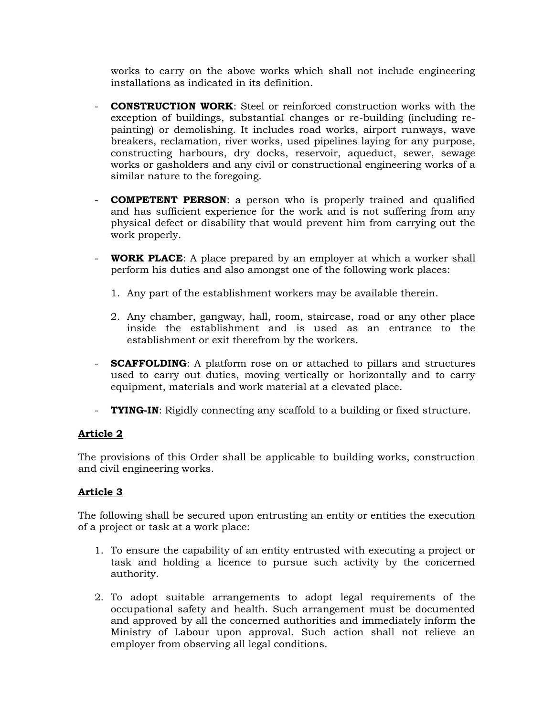works to carry on the above works which shall not include engineering installations as indicated in its definition.

- **CONSTRUCTION WORK**: Steel or reinforced construction works with the exception of buildings, substantial changes or re-building (including repainting) or demolishing. It includes road works, airport runways, wave breakers, reclamation, river works, used pipelines laying for any purpose, constructing harbours, dry docks, reservoir, aqueduct, sewer, sewage works or gasholders and any civil or constructional engineering works of a similar nature to the foregoing.
- **COMPETENT PERSON**: a person who is properly trained and qualified and has sufficient experience for the work and is not suffering from any physical defect or disability that would prevent him from carrying out the work properly.
- **WORK PLACE:** A place prepared by an employer at which a worker shall perform his duties and also amongst one of the following work places:
	- 1. Any part of the establishment workers may be available therein.
	- 2. Any chamber, gangway, hall, room, staircase, road or any other place inside the establishment and is used as an entrance to the establishment or exit therefrom by the workers.
- **SCAFFOLDING:** A platform rose on or attached to pillars and structures used to carry out duties, moving vertically or horizontally and to carry equipment, materials and work material at a elevated place.
- **TYING-IN**: Rigidly connecting any scaffold to a building or fixed structure.

### **Article 2**

The provisions of this Order shall be applicable to building works, construction and civil engineering works.

### **Article 3**

The following shall be secured upon entrusting an entity or entities the execution of a project or task at a work place:

- 1. To ensure the capability of an entity entrusted with executing a project or task and holding a licence to pursue such activity by the concerned authority.
- 2. To adopt suitable arrangements to adopt legal requirements of the occupational safety and health. Such arrangement must be documented and approved by all the concerned authorities and immediately inform the Ministry of Labour upon approval. Such action shall not relieve an employer from observing all legal conditions.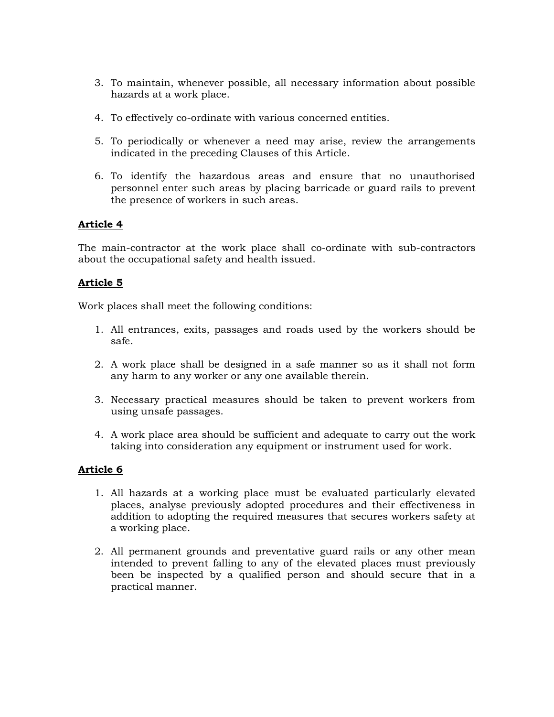- 3. To maintain, whenever possible, all necessary information about possible hazards at a work place.
- 4. To effectively co-ordinate with various concerned entities.
- 5. To periodically or whenever a need may arise, review the arrangements indicated in the preceding Clauses of this Article.
- 6. To identify the hazardous areas and ensure that no unauthorised personnel enter such areas by placing barricade or guard rails to prevent the presence of workers in such areas.

The main-contractor at the work place shall co-ordinate with sub-contractors about the occupational safety and health issued.

### **Article 5**

Work places shall meet the following conditions:

- 1. All entrances, exits, passages and roads used by the workers should be safe.
- 2. A work place shall be designed in a safe manner so as it shall not form any harm to any worker or any one available therein.
- 3. Necessary practical measures should be taken to prevent workers from using unsafe passages.
- 4. A work place area should be sufficient and adequate to carry out the work taking into consideration any equipment or instrument used for work.

- 1. All hazards at a working place must be evaluated particularly elevated places, analyse previously adopted procedures and their effectiveness in addition to adopting the required measures that secures workers safety at a working place.
- 2. All permanent grounds and preventative guard rails or any other mean intended to prevent falling to any of the elevated places must previously been be inspected by a qualified person and should secure that in a practical manner.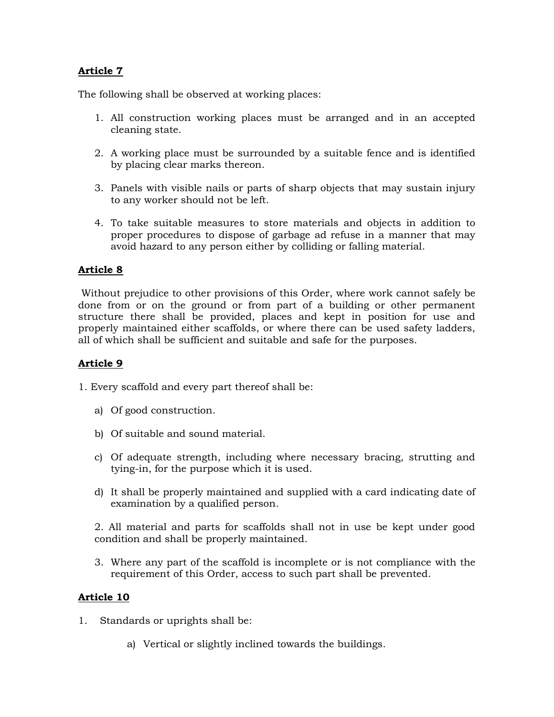The following shall be observed at working places:

- 1. All construction working places must be arranged and in an accepted cleaning state.
- 2. A working place must be surrounded by a suitable fence and is identified by placing clear marks thereon.
- 3. Panels with visible nails or parts of sharp objects that may sustain injury to any worker should not be left.
- 4. To take suitable measures to store materials and objects in addition to proper procedures to dispose of garbage ad refuse in a manner that may avoid hazard to any person either by colliding or falling material.

## **Article 8**

Without prejudice to other provisions of this Order, where work cannot safely be done from or on the ground or from part of a building or other permanent structure there shall be provided, places and kept in position for use and properly maintained either scaffolds, or where there can be used safety ladders, all of which shall be sufficient and suitable and safe for the purposes.

## **Article 9**

1. Every scaffold and every part thereof shall be:

- a) Of good construction.
- b) Of suitable and sound material.
- c) Of adequate strength, including where necessary bracing, strutting and tying-in, for the purpose which it is used.
- d) It shall be properly maintained and supplied with a card indicating date of examination by a qualified person.

2. All material and parts for scaffolds shall not in use be kept under good condition and shall be properly maintained.

3. Where any part of the scaffold is incomplete or is not compliance with the requirement of this Order, access to such part shall be prevented.

- 1. Standards or uprights shall be:
	- a) Vertical or slightly inclined towards the buildings.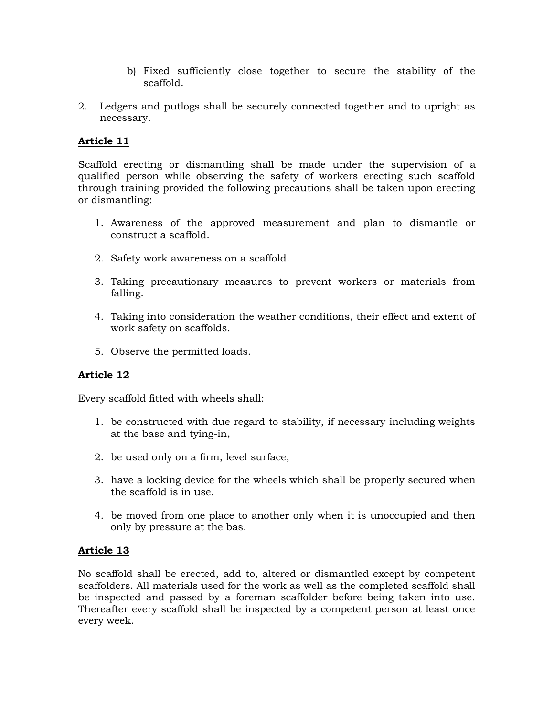- b) Fixed sufficiently close together to secure the stability of the scaffold.
- 2. Ledgers and putlogs shall be securely connected together and to upright as necessary.

Scaffold erecting or dismantling shall be made under the supervision of a qualified person while observing the safety of workers erecting such scaffold through training provided the following precautions shall be taken upon erecting or dismantling:

- 1. Awareness of the approved measurement and plan to dismantle or construct a scaffold.
- 2. Safety work awareness on a scaffold.
- 3. Taking precautionary measures to prevent workers or materials from falling.
- 4. Taking into consideration the weather conditions, their effect and extent of work safety on scaffolds.
- 5. Observe the permitted loads.

### **Article 12**

Every scaffold fitted with wheels shall:

- 1. be constructed with due regard to stability, if necessary including weights at the base and tying-in,
- 2. be used only on a firm, level surface,
- 3. have a locking device for the wheels which shall be properly secured when the scaffold is in use.
- 4. be moved from one place to another only when it is unoccupied and then only by pressure at the bas.

### **Article 13**

No scaffold shall be erected, add to, altered or dismantled except by competent scaffolders. All materials used for the work as well as the completed scaffold shall be inspected and passed by a foreman scaffolder before being taken into use. Thereafter every scaffold shall be inspected by a competent person at least once every week.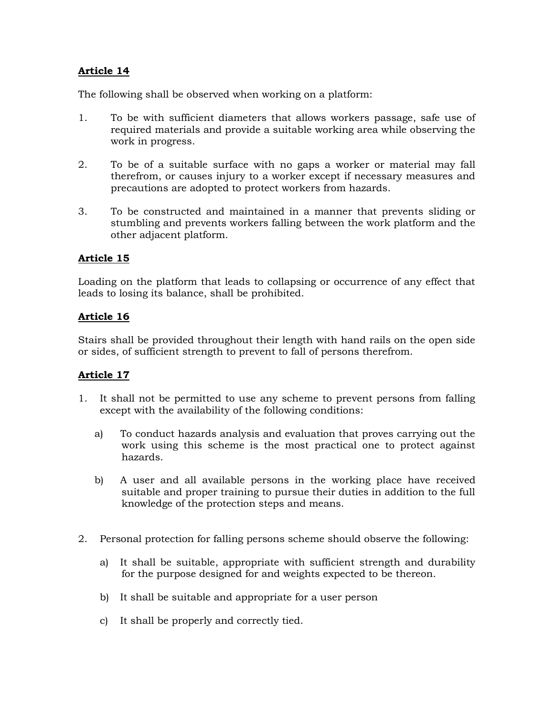The following shall be observed when working on a platform:

- 1. To be with sufficient diameters that allows workers passage, safe use of required materials and provide a suitable working area while observing the work in progress.
- 2. To be of a suitable surface with no gaps a worker or material may fall therefrom, or causes injury to a worker except if necessary measures and precautions are adopted to protect workers from hazards.
- 3. To be constructed and maintained in a manner that prevents sliding or stumbling and prevents workers falling between the work platform and the other adjacent platform.

### **Article 15**

Loading on the platform that leads to collapsing or occurrence of any effect that leads to losing its balance, shall be prohibited.

## **Article 16**

Stairs shall be provided throughout their length with hand rails on the open side or sides, of sufficient strength to prevent to fall of persons therefrom.

- 1. It shall not be permitted to use any scheme to prevent persons from falling except with the availability of the following conditions:
	- a) To conduct hazards analysis and evaluation that proves carrying out the work using this scheme is the most practical one to protect against hazards.
	- b) A user and all available persons in the working place have received suitable and proper training to pursue their duties in addition to the full knowledge of the protection steps and means.
- 2. Personal protection for falling persons scheme should observe the following:
	- a) It shall be suitable, appropriate with sufficient strength and durability for the purpose designed for and weights expected to be thereon.
	- b) It shall be suitable and appropriate for a user person
	- c) It shall be properly and correctly tied.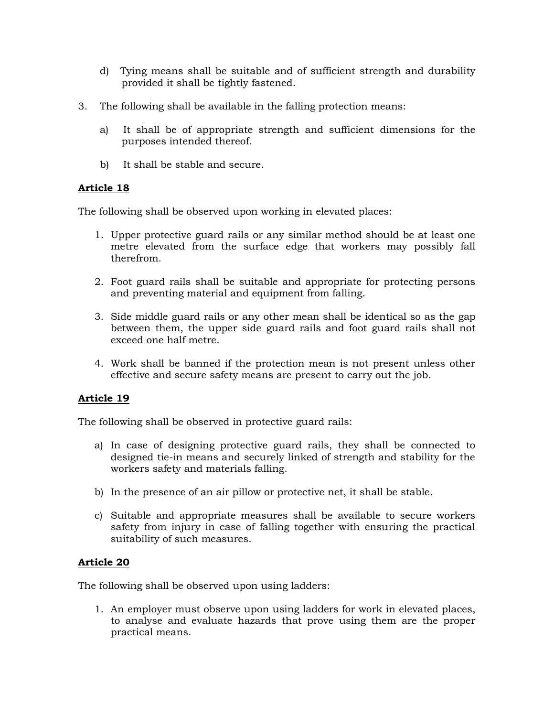- d) Tying means shall be suitable and of sufficient strength and durability provided it shall be tightly fastened.
- 3. The following shall be available in the falling protection means:
	- a) It shall be of appropriate strength and sufficient dimensions for the purposes intended thereof.
	- b) It shall be stable and secure.

The following shall be observed upon working in elevated places:

- 1. Upper protective guard rails or any similar method should be at least one metre elevated from the surface edge that workers may possibly fall therefrom.
- 2. Foot guard rails shall be suitable and appropriate for protecting persons and preventing material and equipment from falling.
- 3. Side middle guard rails or any other mean shall be identical so as the gap between them, the upper side guard rails and foot guard rails shall not exceed one half metre.
- 4. Work shall be banned if the protection mean is not present unless other effective and secure safety means are present to carry out the job.

# **Article 19**

The following shall be observed in protective guard rails:

- a) In case of designing protective guard rails, they shall be connected to designed tie-in means and securely linked of strength and stability for the workers safety and materials falling.
- b) In the presence of an air pillow or protective net, it shall be stable.
- c) Suitable and appropriate measures shall be available to secure workers safety from injury in case of falling together with ensuring the practical suitability of such measures.

# **Article 20**

The following shall be observed upon using ladders:

1. An employer must observe upon using ladders for work in elevated places, to analyse and evaluate hazards that prove using them are the proper practical means.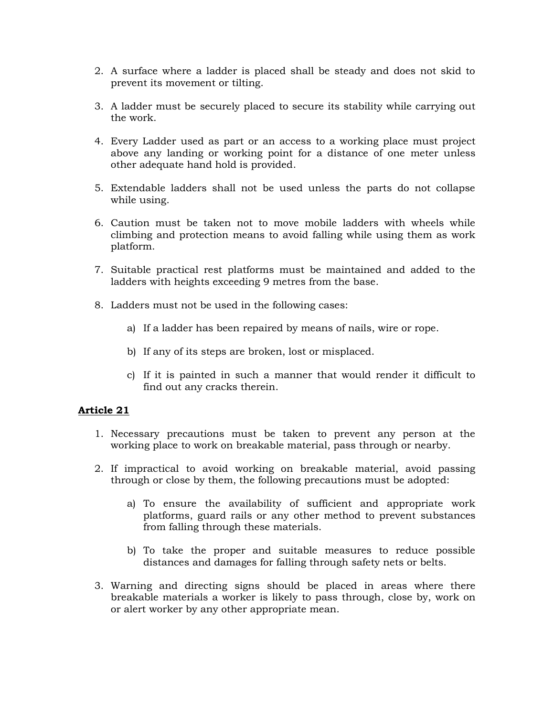- 2. A surface where a ladder is placed shall be steady and does not skid to prevent its movement or tilting.
- 3. A ladder must be securely placed to secure its stability while carrying out the work.
- 4. Every Ladder used as part or an access to a working place must project above any landing or working point for a distance of one meter unless other adequate hand hold is provided.
- 5. Extendable ladders shall not be used unless the parts do not collapse while using.
- 6. Caution must be taken not to move mobile ladders with wheels while climbing and protection means to avoid falling while using them as work platform.
- 7. Suitable practical rest platforms must be maintained and added to the ladders with heights exceeding 9 metres from the base.
- 8. Ladders must not be used in the following cases:
	- a) If a ladder has been repaired by means of nails, wire or rope.
	- b) If any of its steps are broken, lost or misplaced.
	- c) If it is painted in such a manner that would render it difficult to find out any cracks therein.

- 1. Necessary precautions must be taken to prevent any person at the working place to work on breakable material, pass through or nearby.
- 2. If impractical to avoid working on breakable material, avoid passing through or close by them, the following precautions must be adopted:
	- a) To ensure the availability of sufficient and appropriate work platforms, guard rails or any other method to prevent substances from falling through these materials.
	- b) To take the proper and suitable measures to reduce possible distances and damages for falling through safety nets or belts.
- 3. Warning and directing signs should be placed in areas where there breakable materials a worker is likely to pass through, close by, work on or alert worker by any other appropriate mean.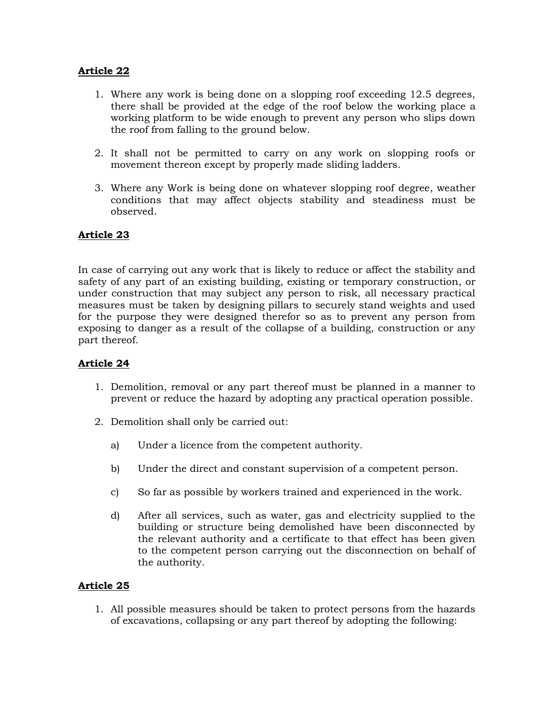- 1. Where any work is being done on a slopping roof exceeding 12.5 degrees, there shall be provided at the edge of the roof below the working place a working platform to be wide enough to prevent any person who slips down the roof from falling to the ground below.
- 2. It shall not be permitted to carry on any work on slopping roofs or movement thereon except by properly made sliding ladders.
- 3. Where any Work is being done on whatever slopping roof degree, weather conditions that may affect objects stability and steadiness must be observed.

## **Article 23**

In case of carrying out any work that is likely to reduce or affect the stability and safety of any part of an existing building, existing or temporary construction, or under construction that may subject any person to risk, all necessary practical measures must be taken by designing pillars to securely stand weights and used for the purpose they were designed therefor so as to prevent any person from exposing to danger as a result of the collapse of a building, construction or any part thereof.

## **Article 24**

- 1. Demolition, removal or any part thereof must be planned in a manner to prevent or reduce the hazard by adopting any practical operation possible.
- 2. Demolition shall only be carried out:
	- a) Under a licence from the competent authority.
	- b) Under the direct and constant supervision of a competent person.
	- c) So far as possible by workers trained and experienced in the work.
	- d) After all services, such as water, gas and electricity supplied to the building or structure being demolished have been disconnected by the relevant authority and a certificate to that effect has been given to the competent person carrying out the disconnection on behalf of the authority.

# **Article 25**

1. All possible measures should be taken to protect persons from the hazards of excavations, collapsing or any part thereof by adopting the following: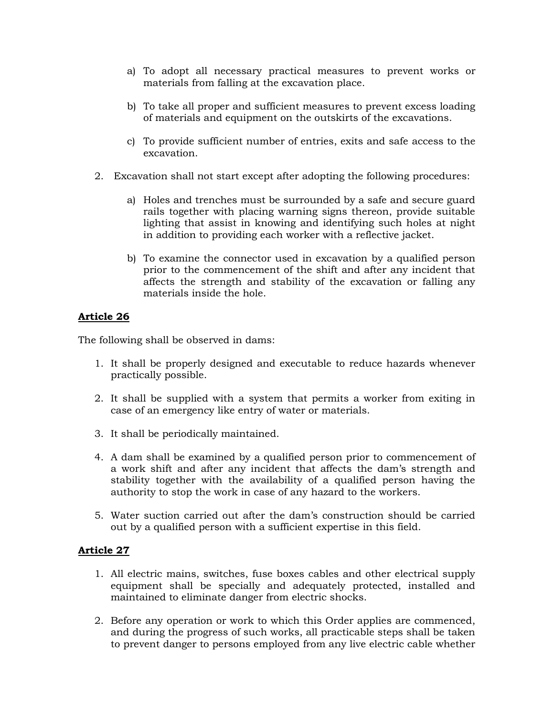- a) To adopt all necessary practical measures to prevent works or materials from falling at the excavation place.
- b) To take all proper and sufficient measures to prevent excess loading of materials and equipment on the outskirts of the excavations.
- c) To provide sufficient number of entries, exits and safe access to the excavation.
- 2. Excavation shall not start except after adopting the following procedures:
	- a) Holes and trenches must be surrounded by a safe and secure guard rails together with placing warning signs thereon, provide suitable lighting that assist in knowing and identifying such holes at night in addition to providing each worker with a reflective jacket.
	- b) To examine the connector used in excavation by a qualified person prior to the commencement of the shift and after any incident that affects the strength and stability of the excavation or falling any materials inside the hole.

The following shall be observed in dams:

- 1. It shall be properly designed and executable to reduce hazards whenever practically possible.
- 2. It shall be supplied with a system that permits a worker from exiting in case of an emergency like entry of water or materials.
- 3. It shall be periodically maintained.
- 4. A dam shall be examined by a qualified person prior to commencement of a work shift and after any incident that affects the dam's strength and stability together with the availability of a qualified person having the authority to stop the work in case of any hazard to the workers.
- 5. Water suction carried out after the dam's construction should be carried out by a qualified person with a sufficient expertise in this field.

- 1. All electric mains, switches, fuse boxes cables and other electrical supply equipment shall be specially and adequately protected, installed and maintained to eliminate danger from electric shocks.
- 2. Before any operation or work to which this Order applies are commenced, and during the progress of such works, all practicable steps shall be taken to prevent danger to persons employed from any live electric cable whether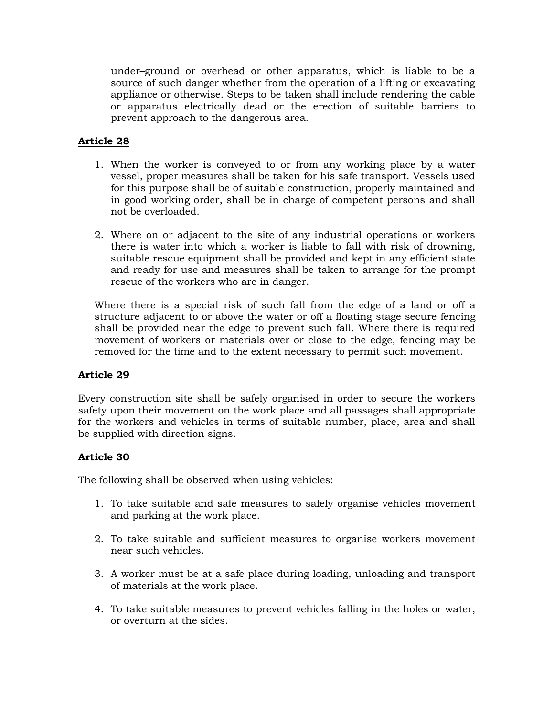under–ground or overhead or other apparatus, which is liable to be a source of such danger whether from the operation of a lifting or excavating appliance or otherwise. Steps to be taken shall include rendering the cable or apparatus electrically dead or the erection of suitable barriers to prevent approach to the dangerous area.

# **Article 28**

- 1. When the worker is conveyed to or from any working place by a water vessel, proper measures shall be taken for his safe transport. Vessels used for this purpose shall be of suitable construction, properly maintained and in good working order, shall be in charge of competent persons and shall not be overloaded.
- 2. Where on or adjacent to the site of any industrial operations or workers there is water into which a worker is liable to fall with risk of drowning, suitable rescue equipment shall be provided and kept in any efficient state and ready for use and measures shall be taken to arrange for the prompt rescue of the workers who are in danger.

Where there is a special risk of such fall from the edge of a land or off a structure adjacent to or above the water or off a floating stage secure fencing shall be provided near the edge to prevent such fall. Where there is required movement of workers or materials over or close to the edge, fencing may be removed for the time and to the extent necessary to permit such movement.

# **Article 29**

Every construction site shall be safely organised in order to secure the workers safety upon their movement on the work place and all passages shall appropriate for the workers and vehicles in terms of suitable number, place, area and shall be supplied with direction signs.

# **Article 30**

The following shall be observed when using vehicles:

- 1. To take suitable and safe measures to safely organise vehicles movement and parking at the work place.
- 2. To take suitable and sufficient measures to organise workers movement near such vehicles.
- 3. A worker must be at a safe place during loading, unloading and transport of materials at the work place.
- 4. To take suitable measures to prevent vehicles falling in the holes or water, or overturn at the sides.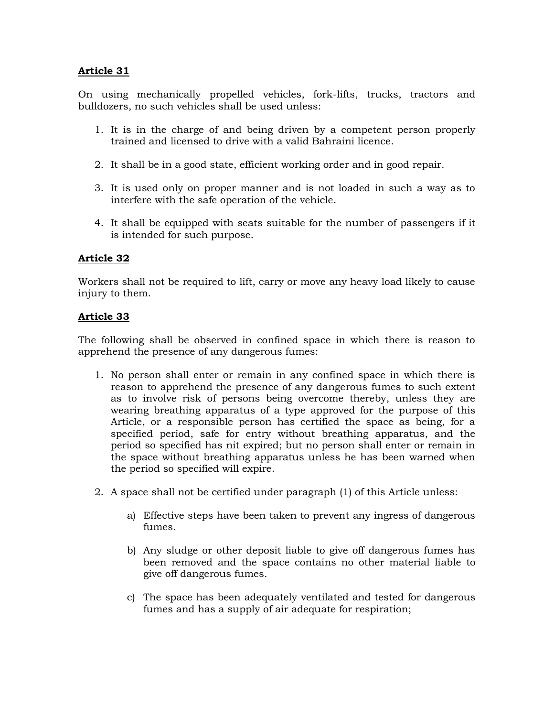On using mechanically propelled vehicles, fork-lifts, trucks, tractors and bulldozers, no such vehicles shall be used unless:

- 1. It is in the charge of and being driven by a competent person properly trained and licensed to drive with a valid Bahraini licence.
- 2. It shall be in a good state, efficient working order and in good repair.
- 3. It is used only on proper manner and is not loaded in such a way as to interfere with the safe operation of the vehicle.
- 4. It shall be equipped with seats suitable for the number of passengers if it is intended for such purpose.

#### **Article 32**

Workers shall not be required to lift, carry or move any heavy load likely to cause injury to them.

#### **Article 33**

The following shall be observed in confined space in which there is reason to apprehend the presence of any dangerous fumes:

- 1. No person shall enter or remain in any confined space in which there is reason to apprehend the presence of any dangerous fumes to such extent as to involve risk of persons being overcome thereby, unless they are wearing breathing apparatus of a type approved for the purpose of this Article, or a responsible person has certified the space as being, for a specified period, safe for entry without breathing apparatus, and the period so specified has nit expired; but no person shall enter or remain in the space without breathing apparatus unless he has been warned when the period so specified will expire.
- 2. A space shall not be certified under paragraph (1) of this Article unless:
	- a) Effective steps have been taken to prevent any ingress of dangerous fumes.
	- b) Any sludge or other deposit liable to give off dangerous fumes has been removed and the space contains no other material liable to give off dangerous fumes.
	- c) The space has been adequately ventilated and tested for dangerous fumes and has a supply of air adequate for respiration;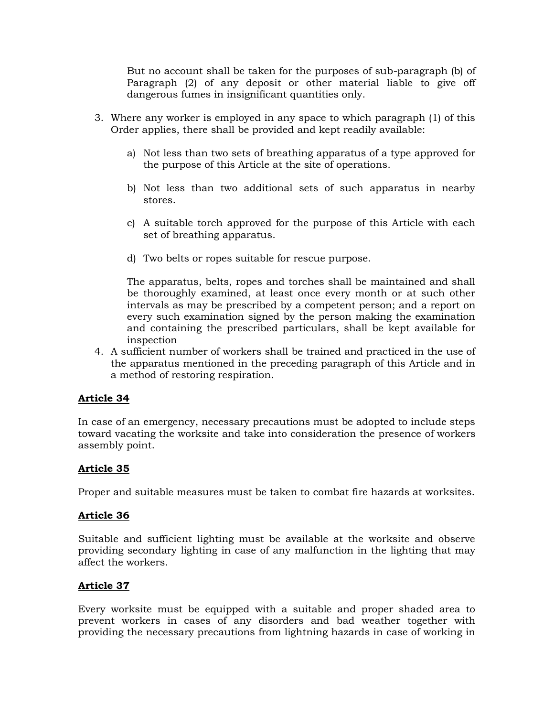But no account shall be taken for the purposes of sub-paragraph (b) of Paragraph (2) of any deposit or other material liable to give off dangerous fumes in insignificant quantities only.

- 3. Where any worker is employed in any space to which paragraph (1) of this Order applies, there shall be provided and kept readily available:
	- a) Not less than two sets of breathing apparatus of a type approved for the purpose of this Article at the site of operations.
	- b) Not less than two additional sets of such apparatus in nearby stores.
	- c) A suitable torch approved for the purpose of this Article with each set of breathing apparatus.
	- d) Two belts or ropes suitable for rescue purpose.

The apparatus, belts, ropes and torches shall be maintained and shall be thoroughly examined, at least once every month or at such other intervals as may be prescribed by a competent person; and a report on every such examination signed by the person making the examination and containing the prescribed particulars, shall be kept available for inspection

4. A sufficient number of workers shall be trained and practiced in the use of the apparatus mentioned in the preceding paragraph of this Article and in a method of restoring respiration.

# **Article 34**

In case of an emergency, necessary precautions must be adopted to include steps toward vacating the worksite and take into consideration the presence of workers assembly point.

# **Article 35**

Proper and suitable measures must be taken to combat fire hazards at worksites.

# **Article 36**

Suitable and sufficient lighting must be available at the worksite and observe providing secondary lighting in case of any malfunction in the lighting that may affect the workers.

# **Article 37**

Every worksite must be equipped with a suitable and proper shaded area to prevent workers in cases of any disorders and bad weather together with providing the necessary precautions from lightning hazards in case of working in